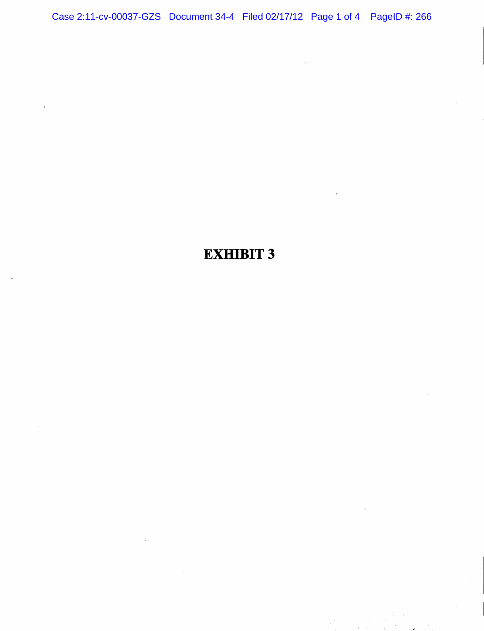Case 2:11-cv-00037-GZS Document 34-4 Filed 02/17/12 Page 1 of 4 PageID #: 266

## EXHIBIT 3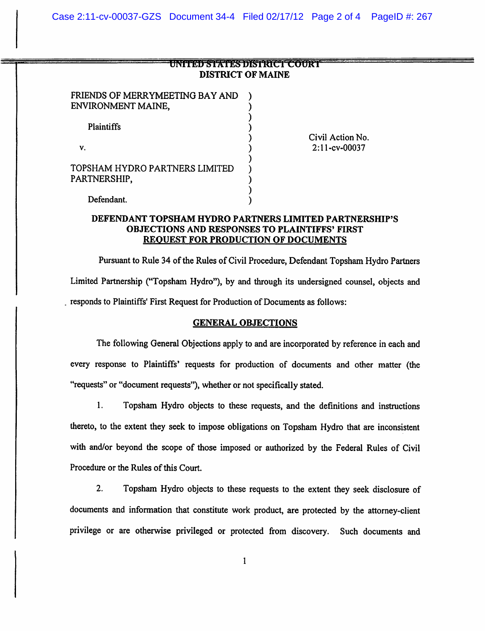| UNITIAL STATISTIKUS LEUDKI |  |
|----------------------------|--|
| <b>DISTRICT OF MAINE</b>   |  |

 $\mathcal{E}$ 

⟩ ⟩

| FRIENDS OF MERRYMEETING BAY AND<br>ENVIRONMENT MAINE, |  |
|-------------------------------------------------------|--|
| <b>Plaintiffs</b>                                     |  |
| v.                                                    |  |
| TOPSHAM HYDRO PARTNERS LIMITED<br>PARTNERSHIP,        |  |
| Defendant.                                            |  |

Civil Action No. 2:ll-cv-00037

## DEFENDANT TOPSHAM HYDRO PARTNERS LIMITED PARTNERSHIP'S OBJECTIONS AND RESPONSES TO PLAINTIFFS' FIRST REQUEST FOR PRODUCTION OF DOCUMENTS

Pursuant to Rule 34 of the Rules of Civil Procedure, Defendant Topsham Hydro Partners Limited Partnership ("Topsham Hydro"), by and through its undersigned counsel, objects and responds to Plaintiffs' First Request for Production of Documents as follows:

## GENERAL OBJECTIONS

The following General Objections apply to and are incorporated by reference in each and every response to Plaintiffs' requests for production of documents and other matter (the "requests" or "document requests"), whether or not specifically stated.

1. Topsham Hydro objects to these requests, and the definitions and instructions thereto, to the extent they seek to impose obligations on Topsham Hydro that are inconsistent with and/or beyond the scope of those imposed or authorized by the Federal Rules of Civil Procedure or the Rules of this Court.

2. Topsham Hydro objects to these requests to the extent they seek disclosure of documents and information that constitute work product, are protected by the attorney-client privilege or are otherwise privileged or protected from discovery. Such documents and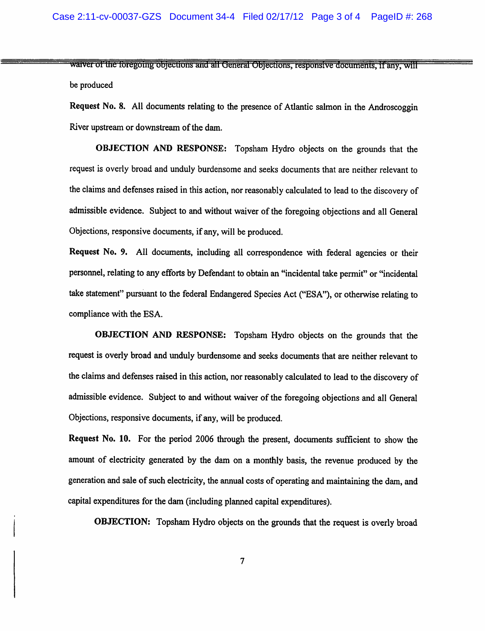waiver of the foregoing objections and all General Objections, responsive documents, if any, will be produced

Request No. 8. All documents relating to the presence of Atlantic salmon in the Androscoggin River upstream or downstream of the dam.

OBJECTION AND RESPONSE: Topsham Hydro objects on the grounds that the request is overly broad and unduly burdensome and seeks documents that are neither relevant to the claims and defenses raised in this action, nor reasonably calculated to lead to the discovery of admissible evidence. Subject to and without waiver of the foregoing objections and all General Objections, responsive documents, if any, will be produced.

Request No. 9. All documents, including all correspondence with federal agencies or their personnel, relating to any efforts by Defendant to obtain an "incidental take permit" or "incidental take statement" pursuant to the federal Endangered Species Act ("ESA"), or otherwise relating to compliance with the ESA.

OBJECTION AND RESPONSE: Topsham Hydro objects on the grounds that the request is overly broad and unduly burdensome and seeks documents that are neither relevant to the claims and defenses raised in this action, nor reasonably calculated to lead to the discovery of admissible evidence. Subject to and without waiver of the foregoing objections and all General Objections, responsive documents, if any, will be produced.

Request No. 10. For the period 2006 through the present, documents sufficient to show the amount of electricity generated by the dam on a monthly basis, the revenue produced by the generation and sale of such electricity, the annual costs of operating and maintaining the dam, and capital expenditures for the dam (including planned capital expenditures).

OBJECTION: Topsham Hydro objects on the grounds that the request is overly broad